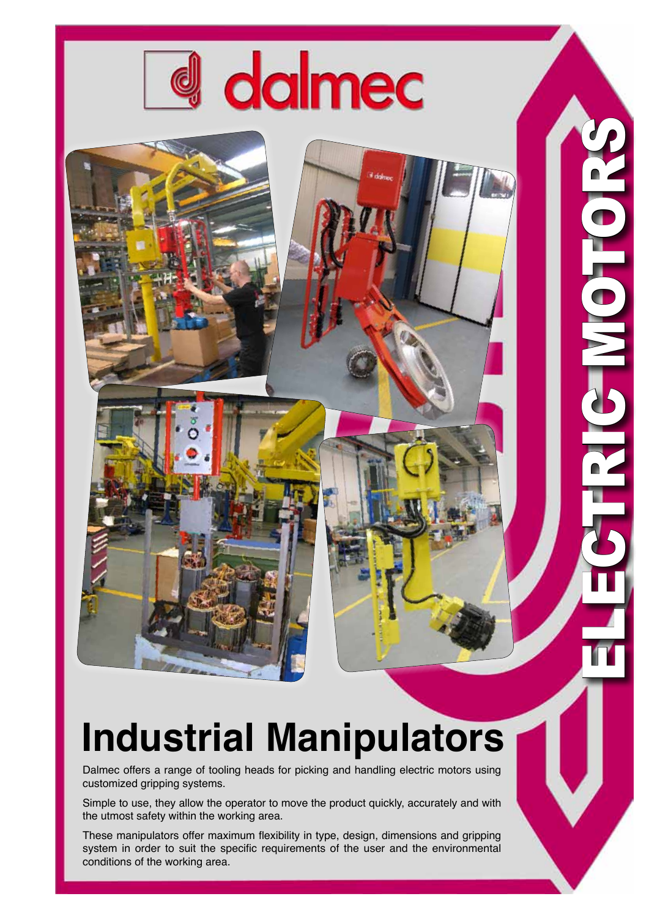

## **Industrial Manipulators**

Dalmec offers a range of tooling heads for picking and handling electric motors using customized gripping systems.

Simple to use, they allow the operator to move the product quickly, accurately and with the utmost safety within the working area.

These manipulators offer maximum flexibility in type, design, dimensions and gripping system in order to suit the specific requirements of the user and the environmental conditions of the working area.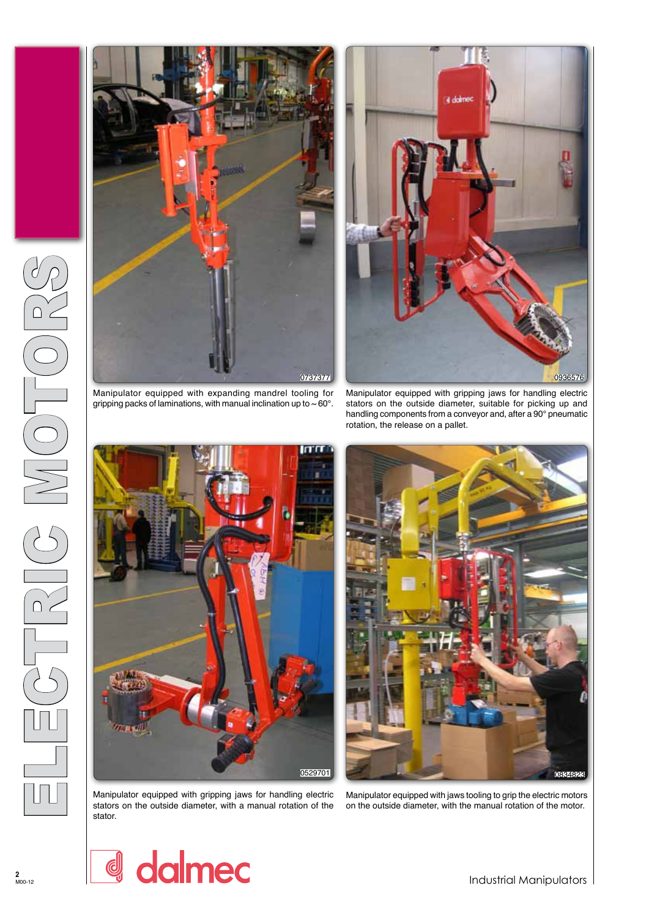

gripping packs of laminations, with manual inclination up to  $\sim$  60 $^{\circ}$ .



Manipulator equipped with gripping jaws for handling electric stators on the outside diameter, suitable for picking up and handling components from a conveyor and, after a 90° pneumatic rotation, the release on a pallet.



Manipulator equipped with gripping jaws for handling electric stators on the outside diameter, with a manual rotation of the stator.

0529701 0834823

Manipulator equipped with jaws tooling to grip the electric motors on the outside diameter, with the manual rotation of the motor.

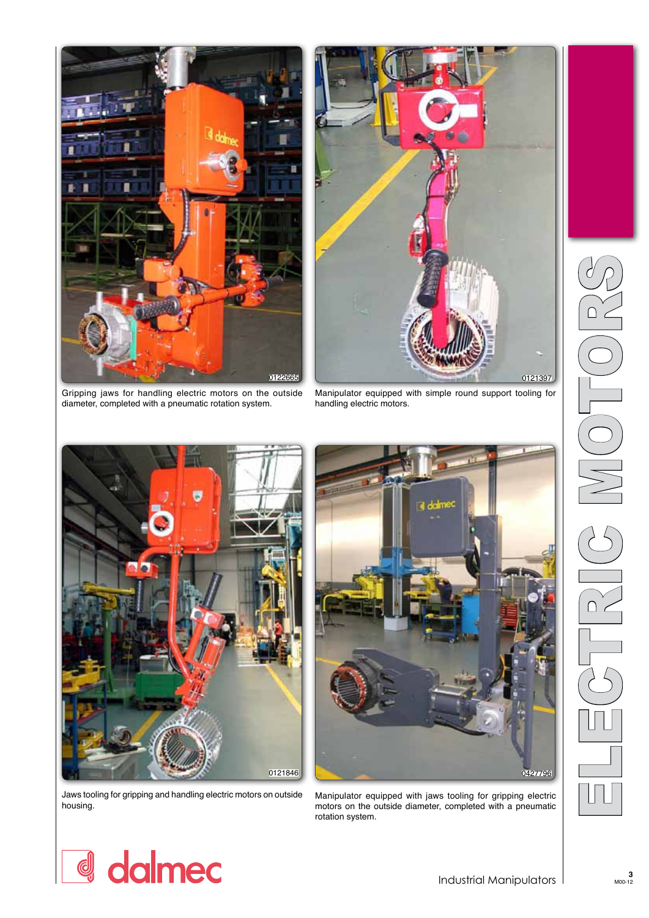

Gripping jaws for handling electric motors on the outside diameter, completed with a pneumatic rotation system.



Manipulator equipped with simple round support tooling for handling electric motors.



Jaws tooling for gripping and handling electric motors on outside housing.



Manipulator equipped with jaws tooling for gripping electric motors on the outside diameter, completed with a pneumatic rotation system.